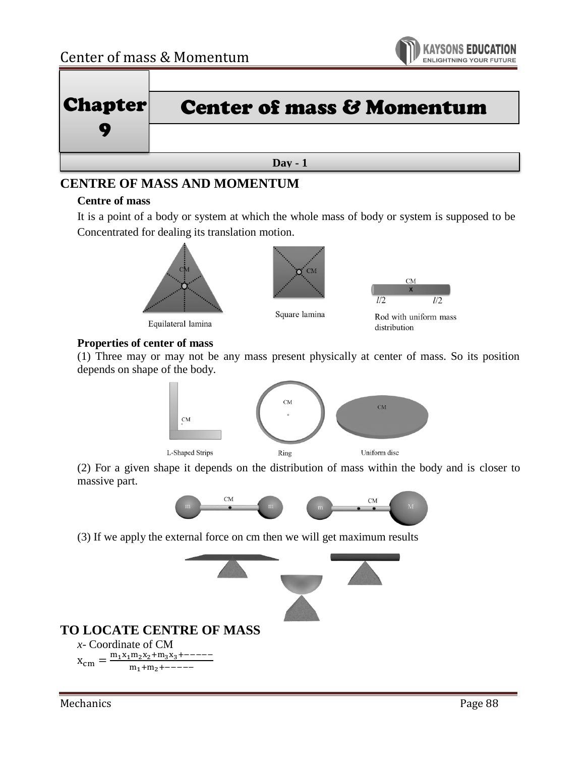



## **CENTRE OF MASS AND MOMENTUM**

#### **Centre of mass**

It is a point of a body or system at which the whole mass of body or system is supposed to be Concentrated for dealing its translation motion.







Rod with uniform mass distribution

#### **Properties of center of mass**

(1) Three may or may not be any mass present physically at center of mass. So its position depends on shape of the body.

Square lamina



(2) For a given shape it depends on the distribution of mass within the body and is closer to massive part.



(3) If we apply the external force on cm then we will get maximum results

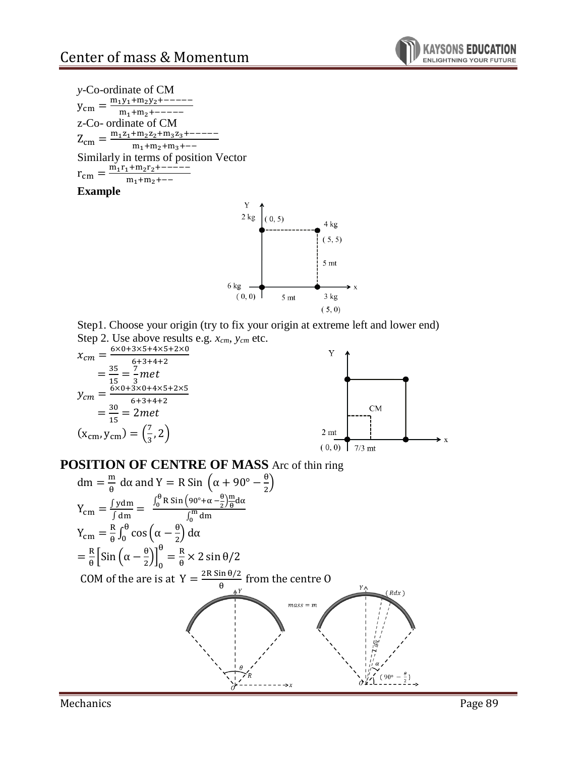*y*-Co-ordinate of CM  $y_{cm} = \frac{m_1y_1 + m_2y_2 + \dots}{m_1 + m_2 + \dots}$  $m_1 + m_2 + - - - -$ z-Co- ordinate of CM  $Z_{\text{cm}} = \frac{m_1 z_1 + m_2 z_2 + m_3 z_3 + \cdots}{m_1 + m_2 + m_3 + \cdots}$  $m_1 + m_2 + m_3 + - -$ Similarly in terms of position Vector  $r_{\text{cm}} = \frac{m_1 r_1 + m_2 r_2 + \dots}{m + m + \dots}$  $m_1 + m_2 + - -$ **Example**







## **POSITION OF CENTRE OF MASS** Arc of thin ring

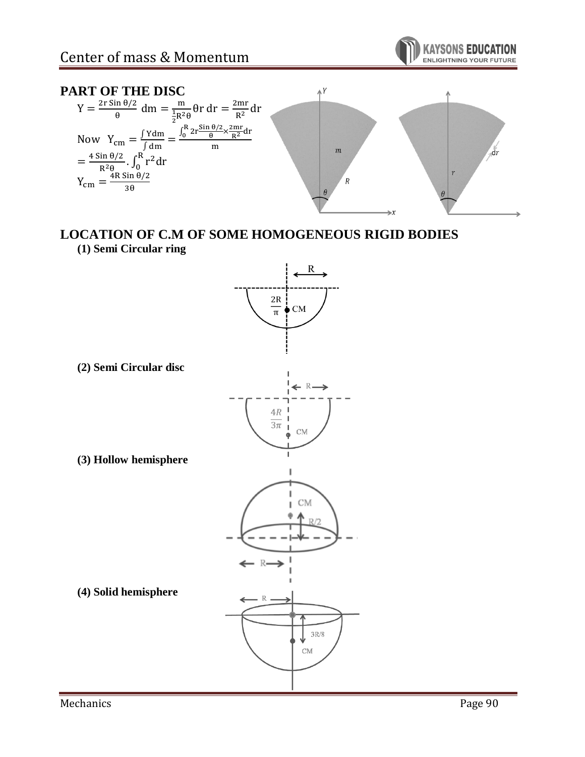



# **LOCATION OF C.M OF SOME HOMOGENEOUS RIGID BODIES**

**(1) Semi Circular ring**